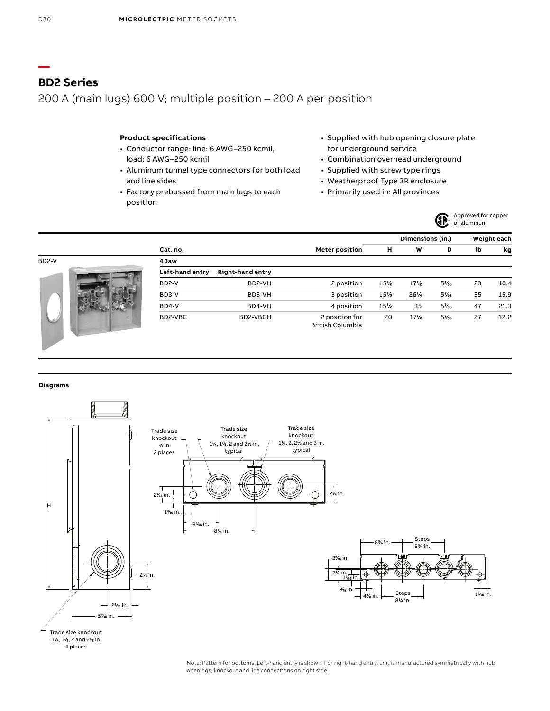**—**

## **BD2 Series**

200 A (main lugs) 600 V; multiple position – 200 A per position

### **Product specifications**

- Conductor range: line: 6 AWG–250 kcmil, load: 6 AWG–250 kcmil
- Aluminum tunnel type connectors for both load and line sides
- Factory prebussed from main lugs to each position
- Supplied with hub opening closure plate for underground service
- Combination overhead underground
- Supplied with screw type rings
- Weatherproof Type 3R enclosure
- Primarily used in: All provinces



|       |                 |                         |                                           |     | Dimensions (in.) |       |    | Weight each |
|-------|-----------------|-------------------------|-------------------------------------------|-----|------------------|-------|----|-------------|
|       | Cat. no.        |                         |                                           | н   | W                | D     | lb | kg          |
| BD2-V | 4 Jaw           |                         |                                           |     |                  |       |    |             |
|       | Left-hand entry | <b>Right-hand entry</b> |                                           |     |                  |       |    |             |
|       | BD2-V           | BD2-VH                  | 2 position                                | 15% | 17%              | $5\%$ | 23 | 10.4        |
|       | BD3-V           | BD3-VH                  | 3 position                                | 15% | 26%              | $5\%$ | 35 | 15.9        |
|       | BD4-V           | BD4-VH                  | 4 position                                | 15% | 35               | $5\%$ | 47 | 21.3        |
|       | BD2-VBC         | BD2-VBCH                | 2 position for<br><b>British Columbia</b> | 20  | 17/2             | $5\%$ | 27 | 12.2        |

**Diagrams**



Note: Pattern for bottoms. Left-hand entry is shown. For right-hand entry, unit is manufactured symmetrically with hub openings, knockout and line connections on right side.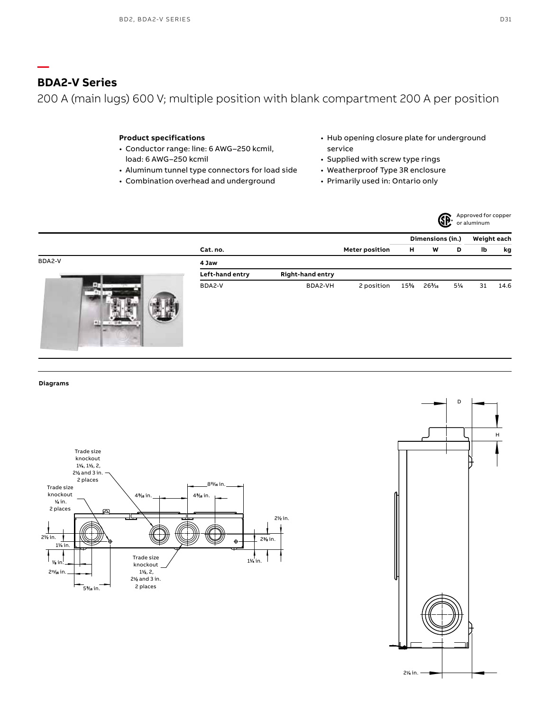# **BDA2-V Series**

**—**

200 A (main lugs) 600 V; multiple position with blank compartment 200 A per position

### **Product specifications**

- Conductor range: line: 6 AWG–250 kcmil, load: 6 AWG–250 kcmil
- Aluminum tunnel type connectors for load side
- Combination overhead and underground
- Hub opening closure plate for underground service
- Supplied with screw type rings
- Weatherproof Type 3R enclosure
- Primarily used in: Ontario only



| h blank compartment 200 A p |  |  |
|-----------------------------|--|--|
|                             |  |  |

|        |                 |                         |                       | Dimensions (in.) |     |    | Weight each |      |
|--------|-----------------|-------------------------|-----------------------|------------------|-----|----|-------------|------|
|        | Cat. no.        |                         | <b>Meter position</b> | н                | W   | D  | lb          | kg   |
| BDA2-V | 4 Jaw           |                         |                       |                  |     |    |             |      |
|        | Left-hand entry | <b>Right-hand entry</b> |                       |                  |     |    |             |      |
| 46     | BDA2-V          | BDA2-VH                 | 2 position            | 15%              | 26% | 5% | 31          | 14.6 |

**Diagrams**



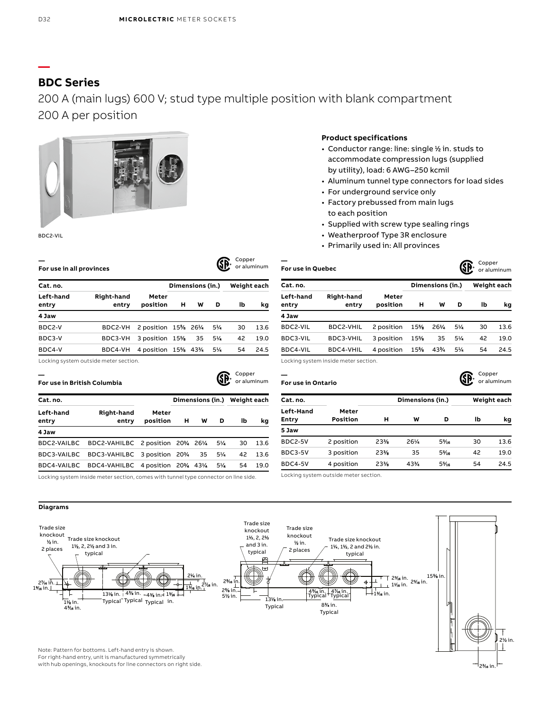# **BDC Series**

# 200 A (main lugs) 600 V; stud type multiple position with blank compartment 200 A per position

#### BDC2-VIL

| For use in all provinces |                            |                    |                  | Copper | or aluminum |             |      |  |
|--------------------------|----------------------------|--------------------|------------------|--------|-------------|-------------|------|--|
| Cat. no.                 |                            |                    | Dimensions (in.) |        |             | Weight each |      |  |
| Left-hand<br>entry       | <b>Right-hand</b><br>entry | Meter<br>position  | н                | W      | D           | lb          | kq   |  |
| 4 Jaw                    |                            |                    |                  |        |             |             |      |  |
| BDC2-V                   | BDC2-VH                    | 2 position 15% 26% |                  |        | 5½          | 30          | 13.6 |  |
| BDC3-V                   | BDC3-VH                    | 3 position $15%$   |                  | 35     | 5½          | 42          | 19.0 |  |
| BDC4-V                   | BDC4-VH                    | 4 position 15% 43% |                  |        | $5\%$       | 54          | 24.5 |  |

Locking system outside meter section.

| For use in British Columbia |                                                                                     |                   |                  | Copper | or aluminum |    |      |
|-----------------------------|-------------------------------------------------------------------------------------|-------------------|------------------|--------|-------------|----|------|
| Cat. no.                    |                                                                                     |                   | Dimensions (in.) |        | Weight each |    |      |
| Left-hand<br>entry          | Right-hand<br>entry                                                                 | Meter<br>position | н                | w      | D           | Ib | kq   |
| 4 Jaw                       |                                                                                     |                   |                  |        |             |    |      |
| BDC2-VAILBC                 | BDC2-VAHILBC 2 position 20% 26%                                                     |                   |                  |        | 5%          | 30 | 13.6 |
| BDC3-VAILBC                 | BDC3-VAHILBC 3 position 20% 35                                                      |                   |                  |        | $5\%$       | 42 | 13.6 |
| BDC4-VAILBC                 | BDC4-VAHILBC 4 position 20% 43%                                                     |                   |                  |        | $5\%$       | 54 | 19.0 |
|                             | Locking system inside meter section, comes with tunnel type connector on line side. |                   |                  |        |             |    |      |

#### Locking system inside meter section, comes with tunnel type connector on line side.

### **Product specifications**

- Conductor range: line: single ½ in. studs to accommodate compression lugs (supplied by utility), load: 6 AWG–250 kcmil
- Aluminum tunnel type connectors for load sides
- For underground service only
- Factory prebussed from main lugs to each position
- Supplied with screw type sealing rings
- Weatherproof Type 3R enclosure
- Primarily used in: All provinces

| CONNEI      | or aluminum | For use in Quebec  |                            |                   |                  | GP  | Copper         | or aluminum |      |  |
|-------------|-------------|--------------------|----------------------------|-------------------|------------------|-----|----------------|-------------|------|--|
| 'eight each |             | Cat. no.           |                            |                   | Dimensions (in.) |     |                | Weight each |      |  |
| lb          | kg          | Left-hand<br>entry | <b>Right-hand</b><br>entry | Meter<br>position | н                | w   | D              | lb          | kg   |  |
|             |             | 4 Jaw              |                            |                   |                  |     |                |             |      |  |
| 30          | 13.6        | BDC2-VIL           | BDC2-VHIL                  | 2 position        | 15%              | 26% | $5\frac{1}{4}$ | 30          | 13.6 |  |
| 42          | 19.0        | BDC3-VIL           | BDC3-VHIL                  | 3 position        | 15%              | 35  | 5/4            | 42          | 19.0 |  |
| 54          | 24.5        | BDC4-VIL           | BDC4-VHIL                  | 4 position        | 15%              | 43% | $5\frac{1}{4}$ | 54          | 24.5 |  |
|             |             |                    |                            |                   |                  |     |                |             |      |  |

Locking system inside meter section.

**For use in Ontario**

**—** 

**—** 

 $\sum$  Copper



23 ⁄16 in.

| Cat. no.                         |                   |     | Dimensions (in.) |       |    | Weight each |  |  |
|----------------------------------|-------------------|-----|------------------|-------|----|-------------|--|--|
| <b>Left-Hand</b><br><b>Entry</b> | Meter<br>Position | н   | w                | D     | lb | kg          |  |  |
| 5 Jaw                            |                   |     |                  |       |    |             |  |  |
| <b>BDC2-5V</b>                   | 2 position        | 23% | 26%              | $5\%$ | 30 | 13.6        |  |  |
| BDC3-5V                          | 3 position        | 23% | 35               | $5\%$ | 42 | 19.0        |  |  |
| BDC4-5V                          | 4 position        | 23% | 43%              | $5\%$ | 54 | 24.5        |  |  |

Locking system outside meter section.



with hub openings, knockouts for line connectors on right side.

**—**